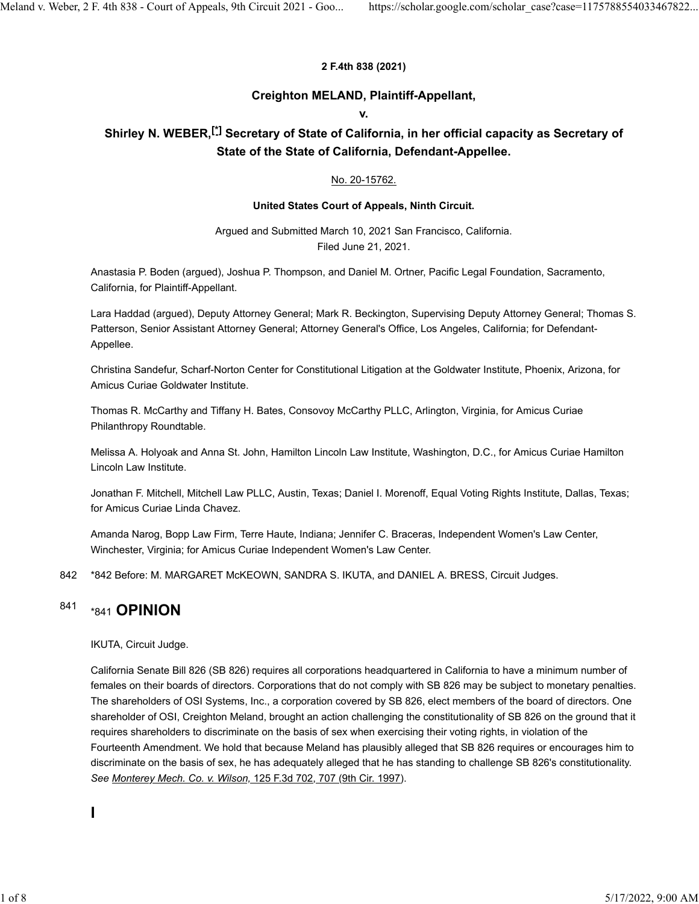### **2 F.4th 838 (2021)**

### **Creighton MELAND, Plaintiff-Appellant,**

### **v.**

## **Shirley N. WEBER,[\[\\*\]](https://scholar.google.com/scholar_case?case=1175788554033467822&q=Mehland+v+Weber&hl=en&as_sdt=2003#[1]) Secretary of State of California, in her official capacity as Secretary of State of the State of California, Defendant-Appellee.**

### [No. 20-15762.](https://scholar.google.com/scholar?scidkt=12026178338310881578&as_sdt=2&hl=en)

### **United States Court of Appeals, Ninth Circuit.**

Argued and Submitted March 10, 2021 San Francisco, California. Filed June 21, 2021.

Anastasia P. Boden (argued), Joshua P. Thompson, and Daniel M. Ortner, Pacific Legal Foundation, Sacramento, California, for Plaintiff-Appellant.

Lara Haddad (argued), Deputy Attorney General; Mark R. Beckington, Supervising Deputy Attorney General; Thomas S. Patterson, Senior Assistant Attorney General; Attorney General's Office, Los Angeles, California; for Defendant-Appellee.

Christina Sandefur, Scharf-Norton Center for Constitutional Litigation at the Goldwater Institute, Phoenix, Arizona, for Amicus Curiae Goldwater Institute.

Thomas R. McCarthy and Tiffany H. Bates, Consovoy McCarthy PLLC, Arlington, Virginia, for Amicus Curiae Philanthropy Roundtable.

Melissa A. Holyoak and Anna St. John, Hamilton Lincoln Law Institute, Washington, D.C., for Amicus Curiae Hamilton Lincoln Law Institute.

Jonathan F. Mitchell, Mitchell Law PLLC, Austin, Texas; Daniel I. Morenoff, Equal Voting Rights Institute, Dallas, Texas; for Amicus Curiae Linda Chavez.

Amanda Narog, Bopp Law Firm, Terre Haute, Indiana; Jennifer C. Braceras, Independent Women's Law Center, Winchester, Virginia; for Amicus Curiae Independent Women's Law Center.

[842](https://scholar.google.com/scholar_case?case=1175788554033467822&q=Mehland+v+Weber&hl=en&as_sdt=2003#p842) [\\*842](https://scholar.google.com/scholar_case?case=1175788554033467822&q=Mehland+v+Weber&hl=en&as_sdt=2003#p842) Before: M. MARGARET McKEOWN, SANDRA S. IKUTA, and DANIEL A. BRESS, Circuit Judges.

## 841 [\\*841](https://scholar.google.com/scholar_case?case=1175788554033467822&q=Mehland+v+Weber&hl=en&as_sdt=2003#p841) **OPINION**

IKUTA, Circuit Judge.

California Senate Bill 826 (SB 826) requires all corporations headquartered in California to have a minimum number of females on their boards of directors. Corporations that do not comply with SB 826 may be subject to monetary penalties. The shareholders of OSI Systems, Inc., a corporation covered by SB 826, elect members of the board of directors. One shareholder of OSI, Creighton Meland, brought an action challenging the constitutionality of SB 826 on the ground that it requires shareholders to discriminate on the basis of sex when exercising their voting rights, in violation of the Fourteenth Amendment. We hold that because Meland has plausibly alleged that SB 826 requires or encourages him to discriminate on the basis of sex, he has adequately alleged that he has standing to challenge SB 826's constitutionality. *See [Monterey Mech. Co. v. Wilson,](https://scholar.google.com/scholar_case?case=10083379940871331465&q=Mehland+v+Weber&hl=en&as_sdt=2003)* [125 F.3d 702, 707 \(9th Cir. 1997\).](https://scholar.google.com/scholar_case?case=10083379940871331465&q=Mehland+v+Weber&hl=en&as_sdt=2003)

**I**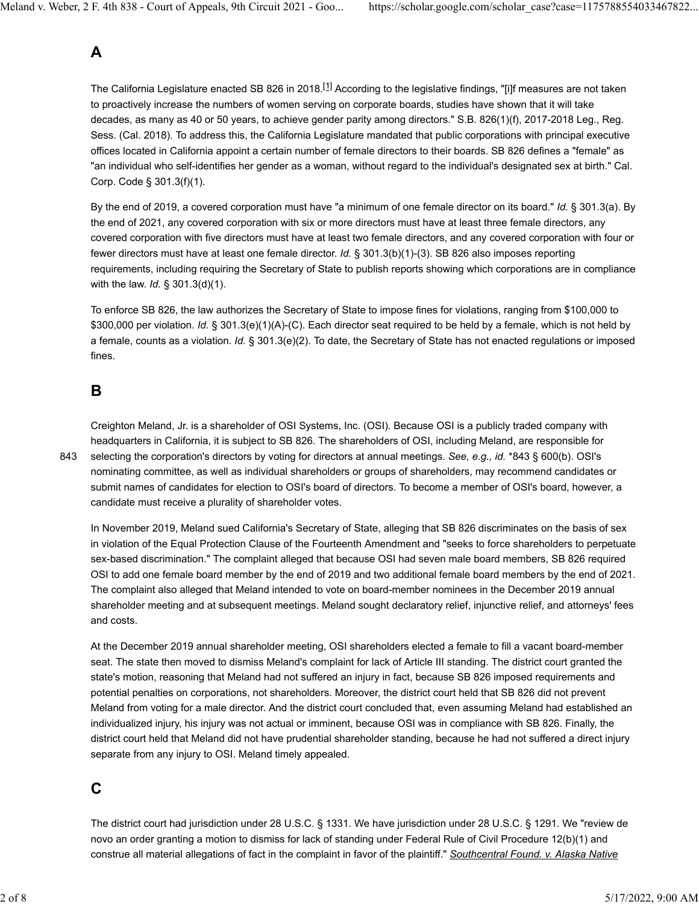# **A**

The California Legislature enacted SB 826 in 2018.<sup>[\[1\]](https://scholar.google.com/scholar_case?case=1175788554033467822&q=Mehland+v+Weber&hl=en&as_sdt=2003#[2])</sup> According to the legislative findings, "[i]f measures are not taken to proactively increase the numbers of women serving on corporate boards, studies have shown that it will take decades, as many as 40 or 50 years, to achieve gender parity among directors." S.B. 826(1)(f), 2017-2018 Leg., Reg. Sess. (Cal. 2018). To address this, the California Legislature mandated that public corporations with principal executive offices located in California appoint a certain number of female directors to their boards. SB 826 defines a "female" as "an individual who self-identifies her gender as a woman, without regard to the individual's designated sex at birth." Cal. Corp. Code § 301.3(f)(1).

By the end of 2019, a covered corporation must have "a minimum of one female director on its board." *Id.* § 301.3(a). By the end of 2021, any covered corporation with six or more directors must have at least three female directors, any covered corporation with five directors must have at least two female directors, and any covered corporation with four or fewer directors must have at least one female director. *Id.* § 301.3(b)(1)-(3). SB 826 also imposes reporting requirements, including requiring the Secretary of State to publish reports showing which corporations are in compliance with the law. *Id.* § 301.3(d)(1).

To enforce SB 826, the law authorizes the Secretary of State to impose fines for violations, ranging from \$100,000 to \$300,000 per violation. *Id.* § 301.3(e)(1)(A)-(C). Each director seat required to be held by a female, which is not held by a female, counts as a violation. *Id.* § 301.3(e)(2). To date, the Secretary of State has not enacted regulations or imposed fines.

# **B**

[843](https://scholar.google.com/scholar_case?case=1175788554033467822&q=Mehland+v+Weber&hl=en&as_sdt=2003#p843)

Creighton Meland, Jr. is a shareholder of OSI Systems, Inc. (OSI). Because OSI is a publicly traded company with headquarters in California, it is subject to SB 826. The shareholders of OSI, including Meland, are responsible for selecting the corporation's directors by voting for directors at annual meetings. *See, e.g., id.* [\\*843](https://scholar.google.com/scholar_case?case=1175788554033467822&q=Mehland+v+Weber&hl=en&as_sdt=2003#p843) § 600(b). OSI's nominating committee, as well as individual shareholders or groups of shareholders, may recommend candidates or submit names of candidates for election to OSI's board of directors. To become a member of OSI's board, however, a candidate must receive a plurality of shareholder votes.

In November 2019, Meland sued California's Secretary of State, alleging that SB 826 discriminates on the basis of sex in violation of the Equal Protection Clause of the Fourteenth Amendment and "seeks to force shareholders to perpetuate sex-based discrimination." The complaint alleged that because OSI had seven male board members, SB 826 required OSI to add one female board member by the end of 2019 and two additional female board members by the end of 2021. The complaint also alleged that Meland intended to vote on board-member nominees in the December 2019 annual shareholder meeting and at subsequent meetings. Meland sought declaratory relief, injunctive relief, and attorneys' fees and costs.

At the December 2019 annual shareholder meeting, OSI shareholders elected a female to fill a vacant board-member seat. The state then moved to dismiss Meland's complaint for lack of Article III standing. The district court granted the state's motion, reasoning that Meland had not suffered an injury in fact, because SB 826 imposed requirements and potential penalties on corporations, not shareholders. Moreover, the district court held that SB 826 did not prevent Meland from voting for a male director. And the district court concluded that, even assuming Meland had established an individualized injury, his injury was not actual or imminent, because OSI was in compliance with SB 826. Finally, the district court held that Meland did not have prudential shareholder standing, because he had not suffered a direct injury separate from any injury to OSI. Meland timely appealed.

# **C**

The district court had jurisdiction under 28 U.S.C. § 1331. We have jurisdiction under 28 U.S.C. § 1291. We "review de novo an order granting a motion to dismiss for lack of standing under Federal Rule of Civil Procedure 12(b)(1) and construe all material allegations of fact in the complaint in favor of the plaintiff." *[Southcentral Found. v. Alaska Native](https://scholar.google.com/scholar_case?case=15106153134968947926&q=Mehland+v+Weber&hl=en&as_sdt=2003)*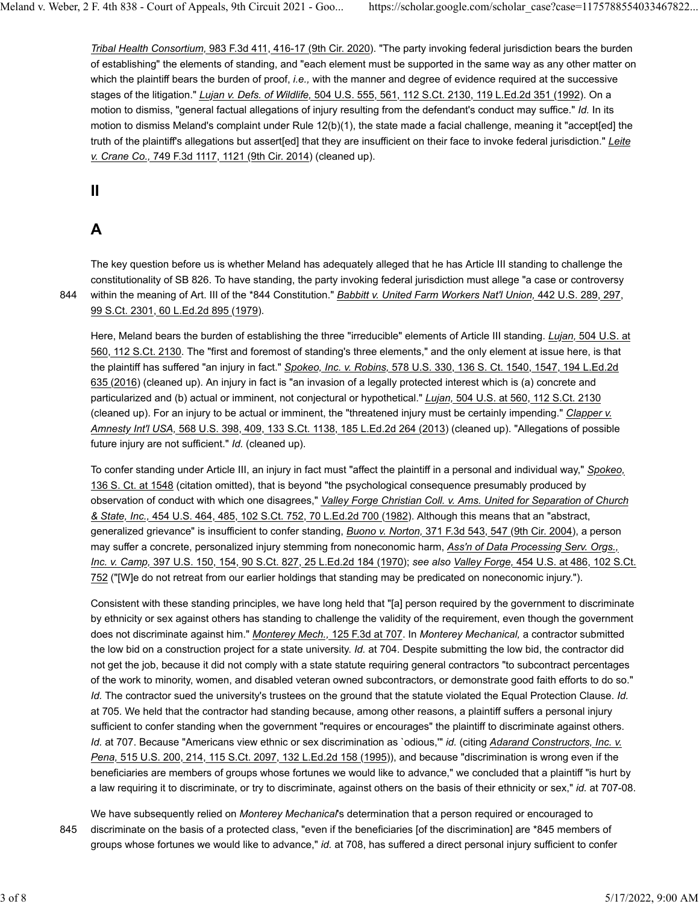*[Tribal Health Consortium,](https://scholar.google.com/scholar_case?case=15106153134968947926&q=Mehland+v+Weber&hl=en&as_sdt=2003)* [983 F.3d 411, 416-17 \(9th Cir. 2020\).](https://scholar.google.com/scholar_case?case=15106153134968947926&q=Mehland+v+Weber&hl=en&as_sdt=2003) "The party invoking federal jurisdiction bears the burden of establishing" the elements of standing, and "each element must be supported in the same way as any other matter on which the plaintiff bears the burden of proof, *i.e.,* with the manner and degree of evidence required at the successive stages of the litigation." *[Lujan v. Defs. of Wildlife,](https://scholar.google.com/scholar_case?case=10150124802357408838&q=Mehland+v+Weber&hl=en&as_sdt=2003)* [504 U.S. 555, 561, 112 S.Ct. 2130, 119 L.Ed.2d 351 \(1992\).](https://scholar.google.com/scholar_case?case=10150124802357408838&q=Mehland+v+Weber&hl=en&as_sdt=2003) On a motion to dismiss, "general factual allegations of injury resulting from the defendant's conduct may suffice." *Id.* In its motion to dismiss Meland's complaint under Rule 12(b)(1), the state made a facial challenge, meaning it "accept[ed] the truth of the plaintiff's allegations but assert[ed] that they are insufficient on their face to invoke federal jurisdiction." *[Leite](https://scholar.google.com/scholar_case?case=12014125675267823255&q=Mehland+v+Weber&hl=en&as_sdt=2003) [v. Crane Co.,](https://scholar.google.com/scholar_case?case=12014125675267823255&q=Mehland+v+Weber&hl=en&as_sdt=2003)* [749 F.3d 1117, 1121 \(9th Cir. 2014\)](https://scholar.google.com/scholar_case?case=12014125675267823255&q=Mehland+v+Weber&hl=en&as_sdt=2003) (cleaned up).

### **II**

# **A**

[844](https://scholar.google.com/scholar_case?case=1175788554033467822&q=Mehland+v+Weber&hl=en&as_sdt=2003#p844)

The key question before us is whether Meland has adequately alleged that he has Article III standing to challenge the constitutionality of SB 826. To have standing, the party invoking federal jurisdiction must allege "a case or controversy within the meaning of Art. III of the [\\*844](https://scholar.google.com/scholar_case?case=1175788554033467822&q=Mehland+v+Weber&hl=en&as_sdt=2003#p844) Constitution." *[Babbitt v. United Farm Workers Nat'l Union,](https://scholar.google.com/scholar_case?case=10534878886270939493&q=Mehland+v+Weber&hl=en&as_sdt=2003)* [442 U.S. 289, 297,](https://scholar.google.com/scholar_case?case=10534878886270939493&q=Mehland+v+Weber&hl=en&as_sdt=2003) [99 S.Ct. 2301, 60 L.Ed.2d 895 \(1979\).](https://scholar.google.com/scholar_case?case=10534878886270939493&q=Mehland+v+Weber&hl=en&as_sdt=2003)

Here, Meland bears the burden of establishing the three "irreducible" elements of Article III standing. *[Lujan,](https://scholar.google.com/scholar_case?case=10150124802357408838&q=Mehland+v+Weber&hl=en&as_sdt=2003)* [504 U.S. at](https://scholar.google.com/scholar_case?case=10150124802357408838&q=Mehland+v+Weber&hl=en&as_sdt=2003) [560, 112 S.Ct. 2130.](https://scholar.google.com/scholar_case?case=10150124802357408838&q=Mehland+v+Weber&hl=en&as_sdt=2003) The "first and foremost of standing's three elements," and the only element at issue here, is that the plaintiff has suffered "an injury in fact." *[Spokeo, Inc. v. Robins,](https://scholar.google.com/scholar_case?case=11810453531811593153&q=Mehland+v+Weber&hl=en&as_sdt=2003)* [578 U.S. 330, 136 S. Ct. 1540, 1547, 194 L.Ed.2d](https://scholar.google.com/scholar_case?case=11810453531811593153&q=Mehland+v+Weber&hl=en&as_sdt=2003) [635 \(2016\)](https://scholar.google.com/scholar_case?case=11810453531811593153&q=Mehland+v+Weber&hl=en&as_sdt=2003) (cleaned up). An injury in fact is "an invasion of a legally protected interest which is (a) concrete and particularized and (b) actual or imminent, not conjectural or hypothetical." *[Lujan,](https://scholar.google.com/scholar_case?case=10150124802357408838&q=Mehland+v+Weber&hl=en&as_sdt=2003)* [504 U.S. at 560, 112 S.Ct. 2130](https://scholar.google.com/scholar_case?case=10150124802357408838&q=Mehland+v+Weber&hl=en&as_sdt=2003) (cleaned up). For an injury to be actual or imminent, the "threatened injury must be certainly impending." *[Clapper v.](https://scholar.google.com/scholar_case?case=9506466268528575986&q=Mehland+v+Weber&hl=en&as_sdt=2003) [Amnesty Int'l USA,](https://scholar.google.com/scholar_case?case=9506466268528575986&q=Mehland+v+Weber&hl=en&as_sdt=2003)* [568 U.S. 398, 409, 133 S.Ct. 1138, 185 L.Ed.2d 264 \(2013\)](https://scholar.google.com/scholar_case?case=9506466268528575986&q=Mehland+v+Weber&hl=en&as_sdt=2003) (cleaned up). "Allegations of possible future injury are not sufficient." *Id.* (cleaned up).

To confer standing under Article III, an injury in fact must "affect the plaintiff in a personal and individual way," *[Spokeo,](https://scholar.google.com/scholar_case?case=11810453531811593153&q=Mehland+v+Weber&hl=en&as_sdt=2003)* [136 S. Ct. at 1548](https://scholar.google.com/scholar_case?case=11810453531811593153&q=Mehland+v+Weber&hl=en&as_sdt=2003) (citation omitted), that is beyond "the psychological consequence presumably produced by observation of conduct with which one disagrees," *[Valley Forge Christian Coll. v. Ams. United for Separation of Church](https://scholar.google.com/scholar_case?case=13913313270799853308&q=Mehland+v+Weber&hl=en&as_sdt=2003) [& State, Inc.,](https://scholar.google.com/scholar_case?case=13913313270799853308&q=Mehland+v+Weber&hl=en&as_sdt=2003)* [454 U.S. 464, 485, 102 S.Ct. 752, 70 L.Ed.2d 700 \(1982\).](https://scholar.google.com/scholar_case?case=13913313270799853308&q=Mehland+v+Weber&hl=en&as_sdt=2003) Although this means that an "abstract, generalized grievance" is insufficient to confer standing, *[Buono v. Norton,](https://scholar.google.com/scholar_case?case=11945940996651681785&q=Mehland+v+Weber&hl=en&as_sdt=2003)* [371 F.3d 543, 547 \(9th Cir. 2004\),](https://scholar.google.com/scholar_case?case=11945940996651681785&q=Mehland+v+Weber&hl=en&as_sdt=2003) a person may suffer a concrete, personalized injury stemming from noneconomic harm, *[Ass'n of Data Processing Serv. Orgs.,](https://scholar.google.com/scholar_case?case=3476651820874552239&q=Mehland+v+Weber&hl=en&as_sdt=2003) [Inc. v. Camp,](https://scholar.google.com/scholar_case?case=3476651820874552239&q=Mehland+v+Weber&hl=en&as_sdt=2003)* [397 U.S. 150, 154, 90 S.Ct. 827, 25 L.Ed.2d 184 \(1970\);](https://scholar.google.com/scholar_case?case=3476651820874552239&q=Mehland+v+Weber&hl=en&as_sdt=2003) *see also [Valley Forge,](https://scholar.google.com/scholar_case?case=13913313270799853308&q=Mehland+v+Weber&hl=en&as_sdt=2003)* [454 U.S. at 486, 102 S.Ct.](https://scholar.google.com/scholar_case?case=13913313270799853308&q=Mehland+v+Weber&hl=en&as_sdt=2003) [752](https://scholar.google.com/scholar_case?case=13913313270799853308&q=Mehland+v+Weber&hl=en&as_sdt=2003) ("[W]e do not retreat from our earlier holdings that standing may be predicated on noneconomic injury.").

Consistent with these standing principles, we have long held that "[a] person required by the government to discriminate by ethnicity or sex against others has standing to challenge the validity of the requirement, even though the government does not discriminate against him." *[Monterey Mech.,](https://scholar.google.com/scholar_case?case=10083379940871331465&q=Mehland+v+Weber&hl=en&as_sdt=2003)* [125 F.3d at 707.](https://scholar.google.com/scholar_case?case=10083379940871331465&q=Mehland+v+Weber&hl=en&as_sdt=2003) In *Monterey Mechanical,* a contractor submitted the low bid on a construction project for a state university. *Id.* at 704. Despite submitting the low bid, the contractor did not get the job, because it did not comply with a state statute requiring general contractors "to subcontract percentages of the work to minority, women, and disabled veteran owned subcontractors, or demonstrate good faith efforts to do so." *Id.* The contractor sued the university's trustees on the ground that the statute violated the Equal Protection Clause. *Id.* at 705. We held that the contractor had standing because, among other reasons, a plaintiff suffers a personal injury sufficient to confer standing when the government "requires or encourages" the plaintiff to discriminate against others. *Id.* at 707. Because "Americans view ethnic or sex discrimination as `odious,'" *id.* (citing *[Adarand Constructors, Inc. v.](https://scholar.google.com/scholar_case?case=2147006255844490323&q=Mehland+v+Weber&hl=en&as_sdt=2003) [Pena,](https://scholar.google.com/scholar_case?case=2147006255844490323&q=Mehland+v+Weber&hl=en&as_sdt=2003)* [515 U.S. 200, 214, 115 S.Ct. 2097, 132 L.Ed.2d 158 \(1995\)\)](https://scholar.google.com/scholar_case?case=2147006255844490323&q=Mehland+v+Weber&hl=en&as_sdt=2003), and because "discrimination is wrong even if the beneficiaries are members of groups whose fortunes we would like to advance," we concluded that a plaintiff "is hurt by a law requiring it to discriminate, or try to discriminate, against others on the basis of their ethnicity or sex," *id.* at 707-08.

We have subsequently relied on *Monterey Mechanical*'s determination that a person required or encouraged to discriminate on the basis of a protected class, "even if the beneficiaries [of the discrimination] are [\\*845](https://scholar.google.com/scholar_case?case=1175788554033467822&q=Mehland+v+Weber&hl=en&as_sdt=2003#p845) members of groups whose fortunes we would like to advance," *id.* at 708, has suffered a direct personal injury sufficient to confer [845](https://scholar.google.com/scholar_case?case=1175788554033467822&q=Mehland+v+Weber&hl=en&as_sdt=2003#p845)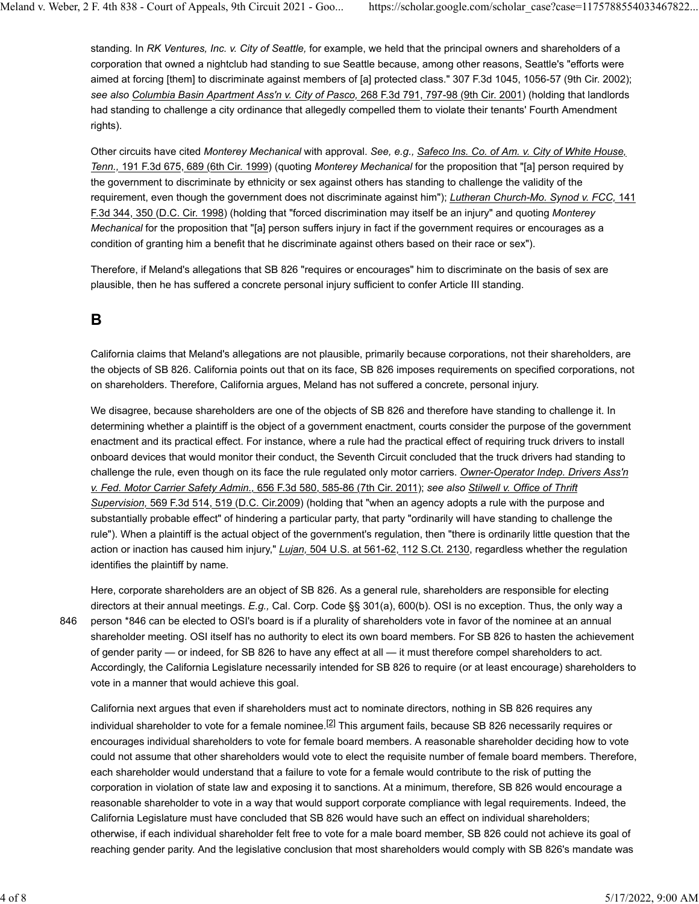standing. In *RK Ventures, Inc. v. City of Seattle,* for example, we held that the principal owners and shareholders of a corporation that owned a nightclub had standing to sue Seattle because, among other reasons, Seattle's "efforts were aimed at forcing [them] to discriminate against members of [a] protected class." 307 F.3d 1045, 1056-57 (9th Cir. 2002); *see also [Columbia Basin Apartment Ass'n v. City of Pasco,](https://scholar.google.com/scholar_case?case=13985764233735638815&q=Mehland+v+Weber&hl=en&as_sdt=2003)* [268 F.3d 791, 797-98 \(9th Cir. 2001\)](https://scholar.google.com/scholar_case?case=13985764233735638815&q=Mehland+v+Weber&hl=en&as_sdt=2003) (holding that landlords had standing to challenge a city ordinance that allegedly compelled them to violate their tenants' Fourth Amendment rights).

Other circuits have cited *Monterey Mechanical* with approval. *See, e.g., [Safeco Ins. Co. of Am. v. City of White House,](https://scholar.google.com/scholar_case?case=6913614132875511380&q=Mehland+v+Weber&hl=en&as_sdt=2003) [Tenn.,](https://scholar.google.com/scholar_case?case=6913614132875511380&q=Mehland+v+Weber&hl=en&as_sdt=2003)* [191 F.3d 675, 689 \(6th Cir. 1999\)](https://scholar.google.com/scholar_case?case=6913614132875511380&q=Mehland+v+Weber&hl=en&as_sdt=2003) (quoting *Monterey Mechanical* for the proposition that "[a] person required by the government to discriminate by ethnicity or sex against others has standing to challenge the validity of the requirement, even though the government does not discriminate against him"); *[Lutheran Church-Mo. Synod v. FCC,](https://scholar.google.com/scholar_case?case=6926955270060929067&q=Mehland+v+Weber&hl=en&as_sdt=2003)* [141](https://scholar.google.com/scholar_case?case=6926955270060929067&q=Mehland+v+Weber&hl=en&as_sdt=2003) [F.3d 344, 350 \(D.C. Cir. 1998\)](https://scholar.google.com/scholar_case?case=6926955270060929067&q=Mehland+v+Weber&hl=en&as_sdt=2003) (holding that "forced discrimination may itself be an injury" and quoting *Monterey Mechanical* for the proposition that "[a] person suffers injury in fact if the government requires or encourages as a condition of granting him a benefit that he discriminate against others based on their race or sex").

Therefore, if Meland's allegations that SB 826 "requires or encourages" him to discriminate on the basis of sex are plausible, then he has suffered a concrete personal injury sufficient to confer Article III standing.

# **B**

California claims that Meland's allegations are not plausible, primarily because corporations, not their shareholders, are the objects of SB 826. California points out that on its face, SB 826 imposes requirements on specified corporations, not on shareholders. Therefore, California argues, Meland has not suffered a concrete, personal injury.

We disagree, because shareholders are one of the objects of SB 826 and therefore have standing to challenge it. In determining whether a plaintiff is the object of a government enactment, courts consider the purpose of the government enactment and its practical effect. For instance, where a rule had the practical effect of requiring truck drivers to install onboard devices that would monitor their conduct, the Seventh Circuit concluded that the truck drivers had standing to challenge the rule, even though on its face the rule regulated only motor carriers. *[Owner-Operator Indep. Drivers Ass'n](https://scholar.google.com/scholar_case?case=17394335287052123841&q=Mehland+v+Weber&hl=en&as_sdt=2003) [v. Fed. Motor Carrier Safety Admin.,](https://scholar.google.com/scholar_case?case=17394335287052123841&q=Mehland+v+Weber&hl=en&as_sdt=2003)* [656 F.3d 580, 585-86 \(7th Cir. 2011\);](https://scholar.google.com/scholar_case?case=17394335287052123841&q=Mehland+v+Weber&hl=en&as_sdt=2003) *see also [Stilwell v. Office of Thrift](https://scholar.google.com/scholar_case?case=14278478985899087784&q=Mehland+v+Weber&hl=en&as_sdt=2003) [Supervision,](https://scholar.google.com/scholar_case?case=14278478985899087784&q=Mehland+v+Weber&hl=en&as_sdt=2003)* [569 F.3d 514, 519 \(D.C. Cir.2009\)](https://scholar.google.com/scholar_case?case=14278478985899087784&q=Mehland+v+Weber&hl=en&as_sdt=2003) (holding that "when an agency adopts a rule with the purpose and substantially probable effect" of hindering a particular party, that party "ordinarily will have standing to challenge the rule"). When a plaintiff is the actual object of the government's regulation, then "there is ordinarily little question that the action or inaction has caused him injury," *[Lujan,](https://scholar.google.com/scholar_case?case=10150124802357408838&q=Mehland+v+Weber&hl=en&as_sdt=2003)* [504 U.S. at 561-62, 112 S.Ct. 2130,](https://scholar.google.com/scholar_case?case=10150124802357408838&q=Mehland+v+Weber&hl=en&as_sdt=2003) regardless whether the regulation identifies the plaintiff by name.

Here, corporate shareholders are an object of SB 826. As a general rule, shareholders are responsible for electing directors at their annual meetings. *E.g.,* Cal. Corp. Code §§ 301(a), 600(b). OSI is no exception. Thus, the only way a person [\\*846](https://scholar.google.com/scholar_case?case=1175788554033467822&q=Mehland+v+Weber&hl=en&as_sdt=2003#p846) can be elected to OSI's board is if a plurality of shareholders vote in favor of the nominee at an annual shareholder meeting. OSI itself has no authority to elect its own board members. For SB 826 to hasten the achievement of gender parity — or indeed, for SB 826 to have any effect at all — it must therefore compel shareholders to act. Accordingly, the California Legislature necessarily intended for SB 826 to require (or at least encourage) shareholders to vote in a manner that would achieve this goal. [846](https://scholar.google.com/scholar_case?case=1175788554033467822&q=Mehland+v+Weber&hl=en&as_sdt=2003#p846)

California next argues that even if shareholders must act to nominate directors, nothing in SB 826 requires any individual shareholder to vote for a female nominee.<sup>[\[2\]](https://scholar.google.com/scholar_case?case=1175788554033467822&q=Mehland+v+Weber&hl=en&as_sdt=2003#[3])</sup> This argument fails, because SB 826 necessarily requires or encourages individual shareholders to vote for female board members. A reasonable shareholder deciding how to vote could not assume that other shareholders would vote to elect the requisite number of female board members. Therefore, each shareholder would understand that a failure to vote for a female would contribute to the risk of putting the corporation in violation of state law and exposing it to sanctions. At a minimum, therefore, SB 826 would encourage a reasonable shareholder to vote in a way that would support corporate compliance with legal requirements. Indeed, the California Legislature must have concluded that SB 826 would have such an effect on individual shareholders; otherwise, if each individual shareholder felt free to vote for a male board member, SB 826 could not achieve its goal of reaching gender parity. And the legislative conclusion that most shareholders would comply with SB 826's mandate was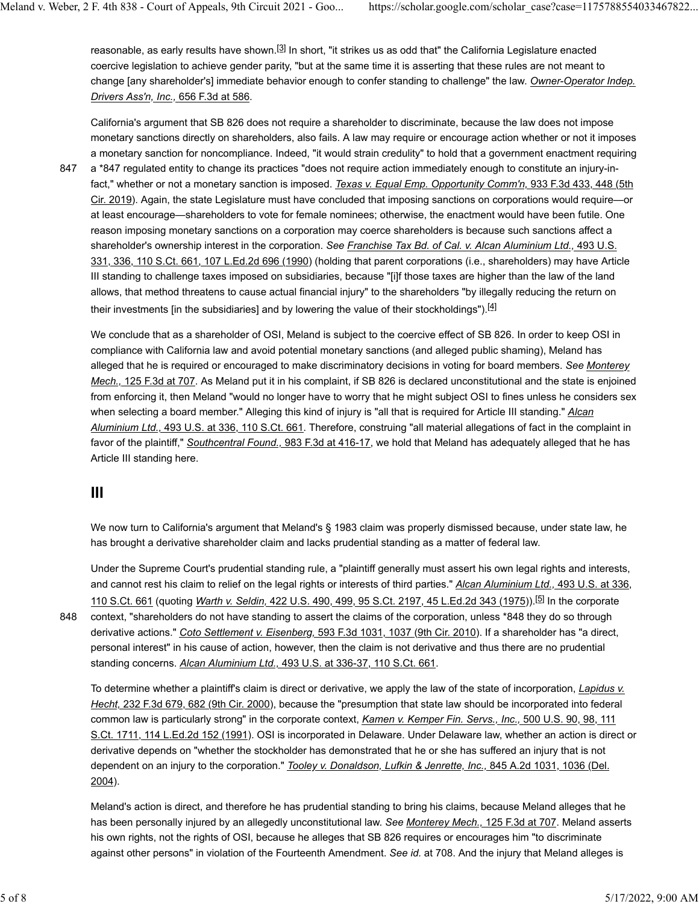reasonable, as early results have shown.<sup>[3]</sup> In short, "it strikes us as odd that" the California Legislature enacted coercive legislation to achieve gender parity, "but at the same time it is asserting that these rules are not meant to change [any shareholder's] immediate behavior enough to confer standing to challenge" the law. *[Owner-Operator Indep.](https://scholar.google.com/scholar_case?case=17394335287052123841&q=Mehland+v+Weber&hl=en&as_sdt=2003) [Drivers Ass'n, Inc.,](https://scholar.google.com/scholar_case?case=17394335287052123841&q=Mehland+v+Weber&hl=en&as_sdt=2003)* [656 F.3d at 586.](https://scholar.google.com/scholar_case?case=17394335287052123841&q=Mehland+v+Weber&hl=en&as_sdt=2003)

California's argument that SB 826 does not require a shareholder to discriminate, because the law does not impose monetary sanctions directly on shareholders, also fails. A law may require or encourage action whether or not it imposes a monetary sanction for noncompliance. Indeed, "it would strain credulity" to hold that a government enactment requiring

a [\\*847](https://scholar.google.com/scholar_case?case=1175788554033467822&q=Mehland+v+Weber&hl=en&as_sdt=2003#p847) regulated entity to change its practices "does not require action immediately enough to constitute an injury-infact," whether or not a monetary sanction is imposed. *[Texas v. Equal Emp. Opportunity Comm'n,](https://scholar.google.com/scholar_case?case=2953346426788772543&q=Mehland+v+Weber&hl=en&as_sdt=2003)* [933 F.3d 433, 448 \(5th](https://scholar.google.com/scholar_case?case=2953346426788772543&q=Mehland+v+Weber&hl=en&as_sdt=2003) [Cir. 2019\).](https://scholar.google.com/scholar_case?case=2953346426788772543&q=Mehland+v+Weber&hl=en&as_sdt=2003) Again, the state Legislature must have concluded that imposing sanctions on corporations would require—or at least encourage—shareholders to vote for female nominees; otherwise, the enactment would have been futile. One reason imposing monetary sanctions on a corporation may coerce shareholders is because such sanctions affect a shareholder's ownership interest in the corporation. *See [Franchise Tax Bd. of Cal. v. Alcan Aluminium Ltd.,](https://scholar.google.com/scholar_case?case=13650446186948762649&q=Mehland+v+Weber&hl=en&as_sdt=2003)* [493 U.S.](https://scholar.google.com/scholar_case?case=13650446186948762649&q=Mehland+v+Weber&hl=en&as_sdt=2003) [331, 336, 110 S.Ct. 661, 107 L.Ed.2d 696 \(1990\)](https://scholar.google.com/scholar_case?case=13650446186948762649&q=Mehland+v+Weber&hl=en&as_sdt=2003) (holding that parent corporations (i.e., shareholders) may have Article III standing to challenge taxes imposed on subsidiaries, because "[i]f those taxes are higher than the law of the land allows, that method threatens to cause actual financial injury" to the shareholders "by illegally reducing the return on their investments [in the subsidiaries] and by lowering the value of their stockholdings").<sup>[\[4\]](https://scholar.google.com/scholar_case?case=1175788554033467822&q=Mehland+v+Weber&hl=en&as_sdt=2003#[5])</sup> [847](https://scholar.google.com/scholar_case?case=1175788554033467822&q=Mehland+v+Weber&hl=en&as_sdt=2003#p847)

We conclude that as a shareholder of OSI, Meland is subject to the coercive effect of SB 826. In order to keep OSI in compliance with California law and avoid potential monetary sanctions (and alleged public shaming), Meland has alleged that he is required or encouraged to make discriminatory decisions in voting for board members. *See [Monterey](https://scholar.google.com/scholar_case?case=10083379940871331465&q=Mehland+v+Weber&hl=en&as_sdt=2003) [Mech.,](https://scholar.google.com/scholar_case?case=10083379940871331465&q=Mehland+v+Weber&hl=en&as_sdt=2003)* [125 F.3d at 707.](https://scholar.google.com/scholar_case?case=10083379940871331465&q=Mehland+v+Weber&hl=en&as_sdt=2003) As Meland put it in his complaint, if SB 826 is declared unconstitutional and the state is enjoined from enforcing it, then Meland "would no longer have to worry that he might subject OSI to fines unless he considers sex when selecting a board member." Alleging this kind of injury is "all that is required for Article III standing." *[Alcan](https://scholar.google.com/scholar_case?case=13650446186948762649&q=Mehland+v+Weber&hl=en&as_sdt=2003) [Aluminium Ltd.,](https://scholar.google.com/scholar_case?case=13650446186948762649&q=Mehland+v+Weber&hl=en&as_sdt=2003)* [493 U.S. at 336, 110 S.Ct. 661.](https://scholar.google.com/scholar_case?case=13650446186948762649&q=Mehland+v+Weber&hl=en&as_sdt=2003) Therefore, construing "all material allegations of fact in the complaint in favor of the plaintiff," *[Southcentral Found.,](https://scholar.google.com/scholar_case?case=15106153134968947926&q=Mehland+v+Weber&hl=en&as_sdt=2003)* [983 F.3d at 416-17,](https://scholar.google.com/scholar_case?case=15106153134968947926&q=Mehland+v+Weber&hl=en&as_sdt=2003) we hold that Meland has adequately alleged that he has Article III standing here.

### **III**

We now turn to California's argument that Meland's § 1983 claim was properly dismissed because, under state law, he has brought a derivative shareholder claim and lacks prudential standing as a matter of federal law.

Under the Supreme Court's prudential standing rule, a "plaintiff generally must assert his own legal rights and interests, and cannot rest his claim to relief on the legal rights or interests of third parties." *[Alcan Aluminium Ltd.,](https://scholar.google.com/scholar_case?case=13650446186948762649&q=Mehland+v+Weber&hl=en&as_sdt=2003)* [493 U.S. at 336,](https://scholar.google.com/scholar_case?case=13650446186948762649&q=Mehland+v+Weber&hl=en&as_sdt=2003) [110 S.Ct. 661](https://scholar.google.com/scholar_case?case=13650446186948762649&q=Mehland+v+Weber&hl=en&as_sdt=2003) (quoting *[Warth v. Seldin,](https://scholar.google.com/scholar_case?case=1789581117125093979&q=Mehland+v+Weber&hl=en&as_sdt=2003)* [422 U.S. 490, 499, 95 S.Ct. 2197, 45 L.Ed.2d 343 \(1975\)\)](https://scholar.google.com/scholar_case?case=1789581117125093979&q=Mehland+v+Weber&hl=en&as_sdt=2003).[\[5\]](https://scholar.google.com/scholar_case?case=1175788554033467822&q=Mehland+v+Weber&hl=en&as_sdt=2003#[6]) In the corporate

context, "shareholders do not have standing to assert the claims of the corporation, unless [\\*848](https://scholar.google.com/scholar_case?case=1175788554033467822&q=Mehland+v+Weber&hl=en&as_sdt=2003#p848) they do so through derivative actions." *[Coto Settlement v. Eisenberg,](https://scholar.google.com/scholar_case?case=10687265265588285209&q=Mehland+v+Weber&hl=en&as_sdt=2003)* [593 F.3d 1031, 1037 \(9th Cir. 2010\).](https://scholar.google.com/scholar_case?case=10687265265588285209&q=Mehland+v+Weber&hl=en&as_sdt=2003) If a shareholder has "a direct, personal interest" in his cause of action, however, then the claim is not derivative and thus there are no prudential standing concerns. *[Alcan Aluminium Ltd.,](https://scholar.google.com/scholar_case?case=13650446186948762649&q=Mehland+v+Weber&hl=en&as_sdt=2003)* [493 U.S. at 336-37, 110 S.Ct. 661.](https://scholar.google.com/scholar_case?case=13650446186948762649&q=Mehland+v+Weber&hl=en&as_sdt=2003) [848](https://scholar.google.com/scholar_case?case=1175788554033467822&q=Mehland+v+Weber&hl=en&as_sdt=2003#p848)

To determine whether a plaintiff's claim is direct or derivative, we apply the law of the state of incorporation, *[Lapidus v.](https://scholar.google.com/scholar_case?case=3115593939624195441&q=Mehland+v+Weber&hl=en&as_sdt=2003) [Hecht,](https://scholar.google.com/scholar_case?case=3115593939624195441&q=Mehland+v+Weber&hl=en&as_sdt=2003)* [232 F.3d 679, 682 \(9th Cir. 2000\),](https://scholar.google.com/scholar_case?case=3115593939624195441&q=Mehland+v+Weber&hl=en&as_sdt=2003) because the "presumption that state law should be incorporated into federal common law is particularly strong" in the corporate context, *[Kamen v. Kemper Fin. Servs., Inc.,](https://scholar.google.com/scholar_case?case=9741317095414123475&q=Mehland+v+Weber&hl=en&as_sdt=2003)* [500 U.S. 90, 98, 111](https://scholar.google.com/scholar_case?case=9741317095414123475&q=Mehland+v+Weber&hl=en&as_sdt=2003) [S.Ct. 1711, 114 L.Ed.2d 152 \(1991\).](https://scholar.google.com/scholar_case?case=9741317095414123475&q=Mehland+v+Weber&hl=en&as_sdt=2003) OSI is incorporated in Delaware. Under Delaware law, whether an action is direct or derivative depends on "whether the stockholder has demonstrated that he or she has suffered an injury that is not dependent on an injury to the corporation." *[Tooley v. Donaldson, Lufkin & Jenrette, Inc.,](https://scholar.google.com/scholar_case?case=4373288006485001394&q=Mehland+v+Weber&hl=en&as_sdt=2003)* [845 A.2d 1031, 1036 \(Del.](https://scholar.google.com/scholar_case?case=4373288006485001394&q=Mehland+v+Weber&hl=en&as_sdt=2003) [2004\).](https://scholar.google.com/scholar_case?case=4373288006485001394&q=Mehland+v+Weber&hl=en&as_sdt=2003)

Meland's action is direct, and therefore he has prudential standing to bring his claims, because Meland alleges that he has been personally injured by an allegedly unconstitutional law. *See [Monterey Mech.,](https://scholar.google.com/scholar_case?case=10083379940871331465&q=Mehland+v+Weber&hl=en&as_sdt=2003)* [125 F.3d at 707.](https://scholar.google.com/scholar_case?case=10083379940871331465&q=Mehland+v+Weber&hl=en&as_sdt=2003) Meland asserts his own rights, not the rights of OSI, because he alleges that SB 826 requires or encourages him "to discriminate against other persons" in violation of the Fourteenth Amendment. *See id.* at 708. And the injury that Meland alleges is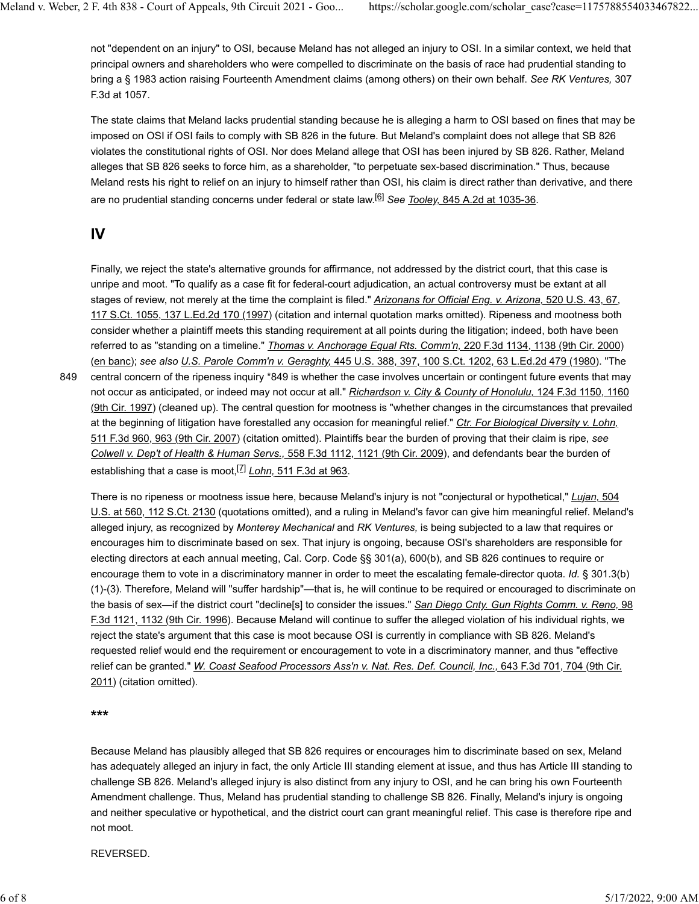not "dependent on an injury" to OSI, because Meland has not alleged an injury to OSI. In a similar context, we held that principal owners and shareholders who were compelled to discriminate on the basis of race had prudential standing to bring a § 1983 action raising Fourteenth Amendment claims (among others) on their own behalf. *See RK Ventures,* 307 F.3d at 1057.

The state claims that Meland lacks prudential standing because he is alleging a harm to OSI based on fines that may be imposed on OSI if OSI fails to comply with SB 826 in the future. But Meland's complaint does not allege that SB 826 violates the constitutional rights of OSI. Nor does Meland allege that OSI has been injured by SB 826. Rather, Meland alleges that SB 826 seeks to force him, as a shareholder, "to perpetuate sex-based discrimination." Thus, because Meland rests his right to relief on an injury to himself rather than OSI, his claim is direct rather than derivative, and there are no prudential standing concerns under federal or state law.[\[6\]](https://scholar.google.com/scholar_case?case=1175788554033467822&q=Mehland+v+Weber&hl=en&as_sdt=2003#[7]) *See [Tooley,](https://scholar.google.com/scholar_case?case=4373288006485001394&q=Mehland+v+Weber&hl=en&as_sdt=2003)* [845 A.2d at 1035-36.](https://scholar.google.com/scholar_case?case=4373288006485001394&q=Mehland+v+Weber&hl=en&as_sdt=2003)

## **IV**

[849](https://scholar.google.com/scholar_case?case=1175788554033467822&q=Mehland+v+Weber&hl=en&as_sdt=2003#p849)

Finally, we reject the state's alternative grounds for affirmance, not addressed by the district court, that this case is unripe and moot. "To qualify as a case fit for federal-court adjudication, an actual controversy must be extant at all stages of review, not merely at the time the complaint is filed." *[Arizonans for Official Eng. v. Arizona,](https://scholar.google.com/scholar_case?case=10948441452628753393&q=Mehland+v+Weber&hl=en&as_sdt=2003)* [520 U.S. 43, 67,](https://scholar.google.com/scholar_case?case=10948441452628753393&q=Mehland+v+Weber&hl=en&as_sdt=2003) [117 S.Ct. 1055, 137 L.Ed.2d 170 \(1997\)](https://scholar.google.com/scholar_case?case=10948441452628753393&q=Mehland+v+Weber&hl=en&as_sdt=2003) (citation and internal quotation marks omitted). Ripeness and mootness both consider whether a plaintiff meets this standing requirement at all points during the litigation; indeed, both have been referred to as "standing on a timeline." *[Thomas v. Anchorage Equal Rts. Comm'n,](https://scholar.google.com/scholar_case?case=682059900292004386&q=Mehland+v+Weber&hl=en&as_sdt=2003)* [220 F.3d 1134, 1138 \(9th Cir. 2000\)](https://scholar.google.com/scholar_case?case=682059900292004386&q=Mehland+v+Weber&hl=en&as_sdt=2003) [\(en banc\);](https://scholar.google.com/scholar_case?case=682059900292004386&q=Mehland+v+Weber&hl=en&as_sdt=2003) *see also [U.S. Parole Comm'n v. Geraghty,](https://scholar.google.com/scholar_case?case=8262208760572635338&q=Mehland+v+Weber&hl=en&as_sdt=2003)* [445 U.S. 388, 397, 100 S.Ct. 1202, 63 L.Ed.2d 479 \(1980\).](https://scholar.google.com/scholar_case?case=8262208760572635338&q=Mehland+v+Weber&hl=en&as_sdt=2003) "The central concern of the ripeness inquiry [\\*849](https://scholar.google.com/scholar_case?case=1175788554033467822&q=Mehland+v+Weber&hl=en&as_sdt=2003#p849) is whether the case involves uncertain or contingent future events that may not occur as anticipated, or indeed may not occur at all." *[Richardson v. City & County of Honolulu,](https://scholar.google.com/scholar_case?case=10023095650007630671&q=Mehland+v+Weber&hl=en&as_sdt=2003)* [124 F.3d 1150, 1160](https://scholar.google.com/scholar_case?case=10023095650007630671&q=Mehland+v+Weber&hl=en&as_sdt=2003) [\(9th Cir. 1997\)](https://scholar.google.com/scholar_case?case=10023095650007630671&q=Mehland+v+Weber&hl=en&as_sdt=2003) (cleaned up). The central question for mootness is "whether changes in the circumstances that prevailed at the beginning of litigation have forestalled any occasion for meaningful relief." *[Ctr. For Biological Diversity v. Lohn,](https://scholar.google.com/scholar_case?case=13079231377329267662&q=Mehland+v+Weber&hl=en&as_sdt=2003)* [511 F.3d 960, 963 \(9th Cir. 2007\)](https://scholar.google.com/scholar_case?case=13079231377329267662&q=Mehland+v+Weber&hl=en&as_sdt=2003) (citation omitted). Plaintiffs bear the burden of proving that their claim is ripe, *see [Colwell v. Dep't of Health & Human Servs.,](https://scholar.google.com/scholar_case?case=12434658171915681573&q=Mehland+v+Weber&hl=en&as_sdt=2003)* [558 F.3d 1112, 1121 \(9th Cir. 2009\),](https://scholar.google.com/scholar_case?case=12434658171915681573&q=Mehland+v+Weber&hl=en&as_sdt=2003) and defendants bear the burden of establishing that a case is moot,[\[7\]](https://scholar.google.com/scholar_case?case=1175788554033467822&q=Mehland+v+Weber&hl=en&as_sdt=2003#[8]) *[Lohn,](https://scholar.google.com/scholar_case?case=13079231377329267662&q=Mehland+v+Weber&hl=en&as_sdt=2003)* [511 F.3d at 963.](https://scholar.google.com/scholar_case?case=13079231377329267662&q=Mehland+v+Weber&hl=en&as_sdt=2003)

There is no ripeness or mootness issue here, because Meland's injury is not "conjectural or hypothetical," *[Lujan,](https://scholar.google.com/scholar_case?case=10150124802357408838&q=Mehland+v+Weber&hl=en&as_sdt=2003)* [504](https://scholar.google.com/scholar_case?case=10150124802357408838&q=Mehland+v+Weber&hl=en&as_sdt=2003) [U.S. at 560, 112 S.Ct. 2130](https://scholar.google.com/scholar_case?case=10150124802357408838&q=Mehland+v+Weber&hl=en&as_sdt=2003) (quotations omitted), and a ruling in Meland's favor can give him meaningful relief. Meland's alleged injury, as recognized by *Monterey Mechanical* and *RK Ventures,* is being subjected to a law that requires or encourages him to discriminate based on sex. That injury is ongoing, because OSI's shareholders are responsible for electing directors at each annual meeting, Cal. Corp. Code §§ 301(a), 600(b), and SB 826 continues to require or encourage them to vote in a discriminatory manner in order to meet the escalating female-director quota. *Id.* § 301.3(b) (1)-(3). Therefore, Meland will "suffer hardship"—that is, he will continue to be required or encouraged to discriminate on the basis of sex—if the district court "decline[s] to consider the issues." *[San Diego Cnty. Gun Rights Comm. v. Reno,](https://scholar.google.com/scholar_case?case=12540238709916361512&q=Mehland+v+Weber&hl=en&as_sdt=2003)* [98](https://scholar.google.com/scholar_case?case=12540238709916361512&q=Mehland+v+Weber&hl=en&as_sdt=2003) [F.3d 1121, 1132 \(9th Cir. 1996\).](https://scholar.google.com/scholar_case?case=12540238709916361512&q=Mehland+v+Weber&hl=en&as_sdt=2003) Because Meland will continue to suffer the alleged violation of his individual rights, we reject the state's argument that this case is moot because OSI is currently in compliance with SB 826. Meland's requested relief would end the requirement or encouragement to vote in a discriminatory manner, and thus "effective relief can be granted." *[W. Coast Seafood Processors Ass'n v. Nat. Res. Def. Council, Inc.,](https://scholar.google.com/scholar_case?case=2519643915608856228&q=Mehland+v+Weber&hl=en&as_sdt=2003)* [643 F.3d 701, 704 \(9th Cir.](https://scholar.google.com/scholar_case?case=2519643915608856228&q=Mehland+v+Weber&hl=en&as_sdt=2003) [2011\)](https://scholar.google.com/scholar_case?case=2519643915608856228&q=Mehland+v+Weber&hl=en&as_sdt=2003) (citation omitted).

#### **\*\*\***

Because Meland has plausibly alleged that SB 826 requires or encourages him to discriminate based on sex, Meland has adequately alleged an injury in fact, the only Article III standing element at issue, and thus has Article III standing to challenge SB 826. Meland's alleged injury is also distinct from any injury to OSI, and he can bring his own Fourteenth Amendment challenge. Thus, Meland has prudential standing to challenge SB 826. Finally, Meland's injury is ongoing and neither speculative or hypothetical, and the district court can grant meaningful relief. This case is therefore ripe and not moot.

#### REVERSED.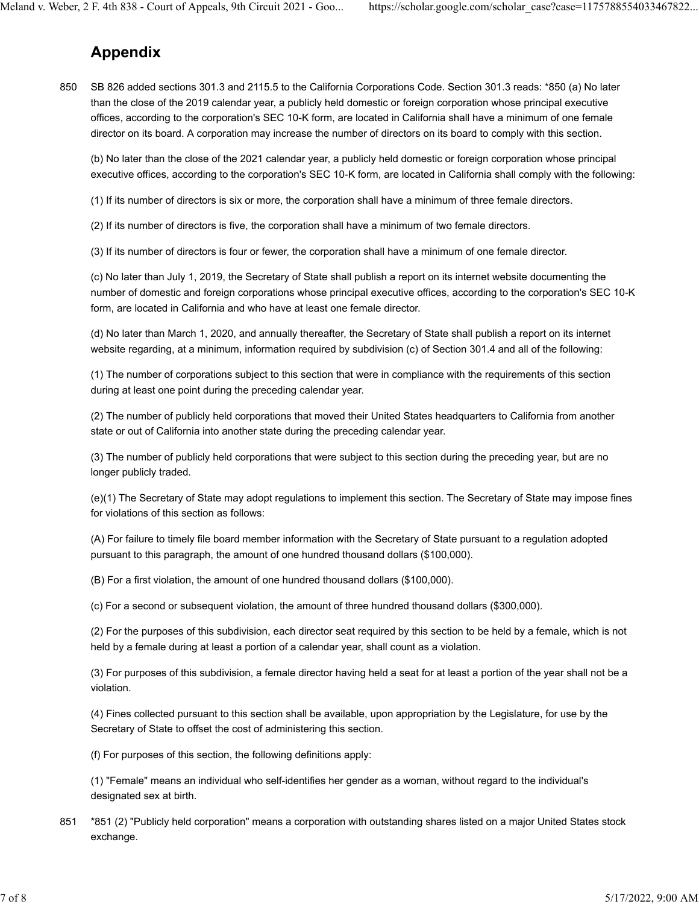# **Appendix**

SB 826 added sections 301.3 and 2115.5 to the California Corporations Code. Section 301.3 reads: [\\*850](https://scholar.google.com/scholar_case?case=1175788554033467822&q=Mehland+v+Weber&hl=en&as_sdt=2003#p850) (a) No later than the close of the 2019 calendar year, a publicly held domestic or foreign corporation whose principal executive offices, according to the corporation's SEC 10-K form, are located in California shall have a minimum of one female director on its board. A corporation may increase the number of directors on its board to comply with this section. [850](https://scholar.google.com/scholar_case?case=1175788554033467822&q=Mehland+v+Weber&hl=en&as_sdt=2003#p850)

(b) No later than the close of the 2021 calendar year, a publicly held domestic or foreign corporation whose principal executive offices, according to the corporation's SEC 10-K form, are located in California shall comply with the following:

(1) If its number of directors is six or more, the corporation shall have a minimum of three female directors.

(2) If its number of directors is five, the corporation shall have a minimum of two female directors.

(3) If its number of directors is four or fewer, the corporation shall have a minimum of one female director.

(c) No later than July 1, 2019, the Secretary of State shall publish a report on its internet website documenting the number of domestic and foreign corporations whose principal executive offices, according to the corporation's SEC 10-K form, are located in California and who have at least one female director.

(d) No later than March 1, 2020, and annually thereafter, the Secretary of State shall publish a report on its internet website regarding, at a minimum, information required by subdivision (c) of Section 301.4 and all of the following:

(1) The number of corporations subject to this section that were in compliance with the requirements of this section during at least one point during the preceding calendar year.

(2) The number of publicly held corporations that moved their United States headquarters to California from another state or out of California into another state during the preceding calendar year.

(3) The number of publicly held corporations that were subject to this section during the preceding year, but are no longer publicly traded.

(e)(1) The Secretary of State may adopt regulations to implement this section. The Secretary of State may impose fines for violations of this section as follows:

(A) For failure to timely file board member information with the Secretary of State pursuant to a regulation adopted pursuant to this paragraph, the amount of one hundred thousand dollars (\$100,000).

(B) For a first violation, the amount of one hundred thousand dollars (\$100,000).

(c) For a second or subsequent violation, the amount of three hundred thousand dollars (\$300,000).

(2) For the purposes of this subdivision, each director seat required by this section to be held by a female, which is not held by a female during at least a portion of a calendar year, shall count as a violation.

(3) For purposes of this subdivision, a female director having held a seat for at least a portion of the year shall not be a violation.

(4) Fines collected pursuant to this section shall be available, upon appropriation by the Legislature, for use by the Secretary of State to offset the cost of administering this section.

(f) For purposes of this section, the following definitions apply:

(1) "Female" means an individual who self-identifies her gender as a woman, without regard to the individual's designated sex at birth.

[\\*851](https://scholar.google.com/scholar_case?case=1175788554033467822&q=Mehland+v+Weber&hl=en&as_sdt=2003#p851) (2) "Publicly held corporation" means a corporation with outstanding shares listed on a major United States stock exchange. [851](https://scholar.google.com/scholar_case?case=1175788554033467822&q=Mehland+v+Weber&hl=en&as_sdt=2003#p851)